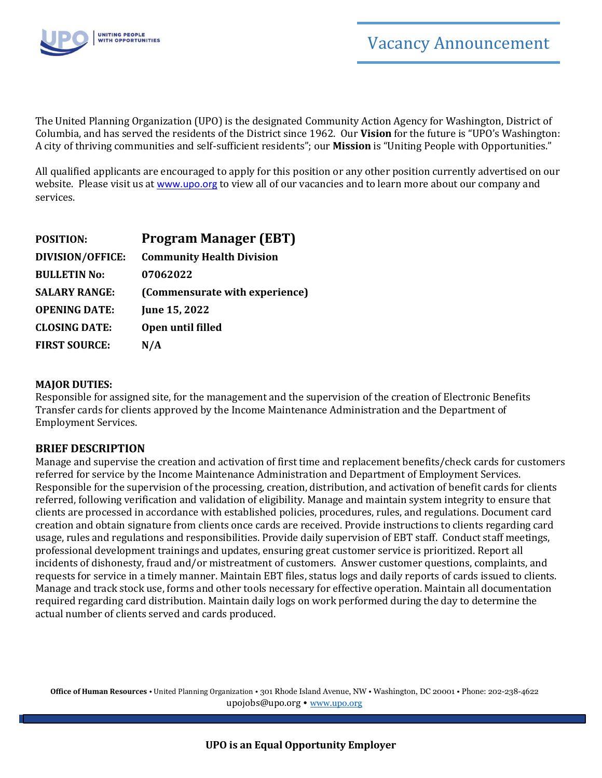

The United Planning Organization (UPO) is the designated Community Action Agency for Washington, District of Columbia, and has served the residents of the District since 1962. Our **Vision** for the future is "UPO's Washington: A city of thriving communities and self-sufficient residents"; our **Mission** is "Uniting People with Opportunities."

All qualified applicants are encouraged to apply for this position or any other position currently advertised on our website. Please visit us at [www.upo.org](http://www.upo.org/) to view all of our vacancies and to learn more about our company and services.

| <b>POSITION:</b>        | <b>Program Manager (EBT)</b>     |
|-------------------------|----------------------------------|
| <b>DIVISION/OFFICE:</b> | <b>Community Health Division</b> |
| <b>BULLETIN No:</b>     | 07062022                         |
| <b>SALARY RANGE:</b>    | (Commensurate with experience)   |
| <b>OPENING DATE:</b>    | June 15, 2022                    |
| <b>CLOSING DATE:</b>    | Open until filled                |
| <b>FIRST SOURCE:</b>    | N/A                              |

## **MAJOR DUTIES:**

Responsible for assigned site, for the management and the supervision of the creation of Electronic Benefits Transfer cards for clients approved by the Income Maintenance Administration and the Department of Employment Services.

## **BRIEF DESCRIPTION**

Manage and supervise the creation and activation of first time and replacement benefits/check cards for customers referred for service by the Income Maintenance Administration and Department of Employment Services. Responsible for the supervision of the processing, creation, distribution, and activation of benefit cards for clients referred, following verification and validation of eligibility. Manage and maintain system integrity to ensure that clients are processed in accordance with established policies, procedures, rules, and regulations. Document card creation and obtain signature from clients once cards are received. Provide instructions to clients regarding card usage, rules and regulations and responsibilities. Provide daily supervision of EBT staff. Conduct staff meetings, professional development trainings and updates, ensuring great customer service is prioritized. Report all incidents of dishonesty, fraud and/or mistreatment of customers. Answer customer questions, complaints, and requests for service in a timely manner. Maintain EBT files, status logs and daily reports of cards issued to clients. Manage and track stock use, forms and other tools necessary for effective operation. Maintain all documentation required regarding card distribution. Maintain daily logs on work performed during the day to determine the actual number of clients served and cards produced.

**Office of Human Resources** • United Planning Organization • 301 Rhode Island Avenue, NW • Washington, DC 20001 • Phone: 202-238-4622 [upojobs@upo.org](mailto:upojobs@upo.org) • [www.upo.org](http://www.upo.org/)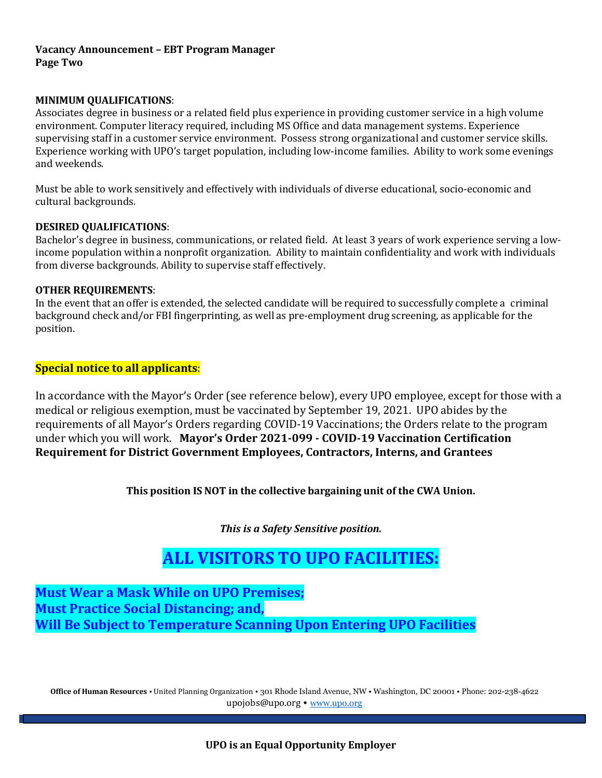## **Vacancy Announcement – EBT Program Manager Page Two**

### **MINIMUM QUALIFICATIONS**:

Associates degree in business or a related field plus experience in providing customer service in a high volume environment. Computer literacy required, including MS Office and data management systems. Experience supervising staff in a customer service environment. Possess strong organizational and customer service skills. Experience working with UPO's target population, including low-income families. Ability to work some evenings and weekends.

Must be able to work sensitively and effectively with individuals of diverse educational, socio-economic and cultural backgrounds.

#### **DESIRED QUALIFICATIONS**:

Bachelor's degree in business, communications, or related field. At least 3 years of work experience serving a lowincome population within a nonprofit organization. Ability to maintain confidentiality and work with individuals from diverse backgrounds. Ability to supervise staff effectively.

#### **OTHER REQUIREMENTS**:

In the event that an offer is extended, the selected candidate will be required to successfully complete a criminal background check and/or FBI fingerprinting, as well as pre-employment drug screening, as applicable for the position.

## **Special notice to all applicants**:

In accordance with the Mayor's Order (see reference below), every UPO employee, except for those with a medical or religious exemption, must be vaccinated by September 19, 2021. UPO abides by the requirements of all Mayor's Orders regarding COVID-19 Vaccinations; the Orders relate to the program under which you will work. **Mayor's Order 2021-099 - COVID-19 Vaccination Certification Requirement for District Government Employees, Contractors, Interns, and Grantees**

**This position IS NOT in the collective bargaining unit of the CWA Union.** 

*This is a Safety Sensitive position.*

# **ALL VISITORS TO UPO FACILITIES:**

**Must Wear a Mask While on UPO Premises; Must Practice Social Distancing; and, Will Be Subject to Temperature Scanning Upon Entering UPO Facilities**

**Office of Human Resources** • United Planning Organization • 301 Rhode Island Avenue, NW • Washington, DC 20001 • Phone: 202-238-4622 [upojobs@upo.org](mailto:upojobs@upo.org) • [www.upo.org](http://www.upo.org/)